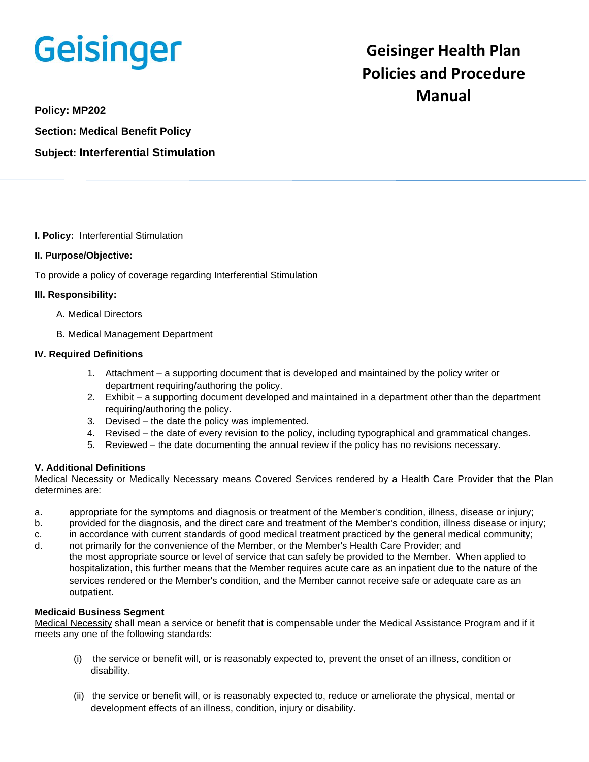# Geisinger

# **Geisinger Health Plan Policies and Procedure Manual**

**Policy: MP202**

**Section: Medical Benefit Policy Subject: Interferential Stimulation**

**I. Policy:** Interferential Stimulation

# **II. Purpose/Objective:**

To provide a policy of coverage regarding Interferential Stimulation

#### **III. Responsibility:**

- A. Medical Directors
- B. Medical Management Department

#### **IV. Required Definitions**

- 1. Attachment a supporting document that is developed and maintained by the policy writer or department requiring/authoring the policy.
- 2. Exhibit a supporting document developed and maintained in a department other than the department requiring/authoring the policy.
- 3. Devised the date the policy was implemented.
- 4. Revised the date of every revision to the policy, including typographical and grammatical changes.
- 5. Reviewed the date documenting the annual review if the policy has no revisions necessary.

# **V. Additional Definitions**

Medical Necessity or Medically Necessary means Covered Services rendered by a Health Care Provider that the Plan determines are:

- a. appropriate for the symptoms and diagnosis or treatment of the Member's condition, illness, disease or injury;
- b. provided for the diagnosis, and the direct care and treatment of the Member's condition, illness disease or injury;
- c. in accordance with current standards of good medical treatment practiced by the general medical community;
- d. not primarily for the convenience of the Member, or the Member's Health Care Provider; and the most appropriate source or level of service that can safely be provided to the Member. When applied to hospitalization, this further means that the Member requires acute care as an inpatient due to the nature of the services rendered or the Member's condition, and the Member cannot receive safe or adequate care as an outpatient.

# **Medicaid Business Segment**

Medical Necessity shall mean a service or benefit that is compensable under the Medical Assistance Program and if it meets any one of the following standards:

- (i) the service or benefit will, or is reasonably expected to, prevent the onset of an illness, condition or disability.
- (ii) the service or benefit will, or is reasonably expected to, reduce or ameliorate the physical, mental or development effects of an illness, condition, injury or disability.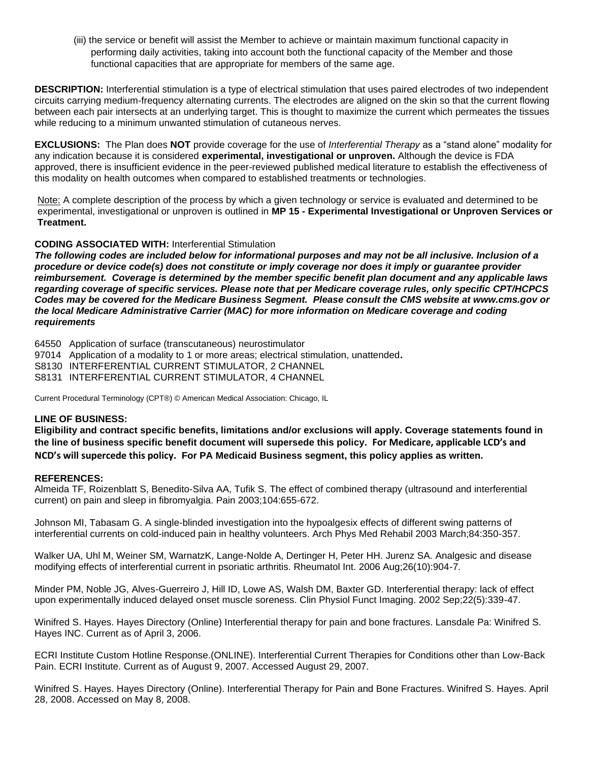(iii) the service or benefit will assist the Member to achieve or maintain maximum functional capacity in performing daily activities, taking into account both the functional capacity of the Member and those functional capacities that are appropriate for members of the same age.

**DESCRIPTION:** Interferential stimulation is a type of electrical stimulation that uses paired electrodes of two independent circuits carrying medium-frequency alternating currents. The electrodes are aligned on the skin so that the current flowing between each pair intersects at an underlying target. This is thought to maximize the current which permeates the tissues while reducing to a minimum unwanted stimulation of cutaneous nerves.

**EXCLUSIONS:** The Plan does **NOT** provide coverage for the use of *Interferential Therapy* as a "stand alone" modality for any indication because it is considered **experimental, investigational or unproven.** Although the device is FDA approved, there is insufficient evidence in the peer-reviewed published medical literature to establish the effectiveness of this modality on health outcomes when compared to established treatments or technologies.

Note: A complete description of the process by which a given technology or service is evaluated and determined to be experimental, investigational or unproven is outlined in **MP 15 - Experimental Investigational or Unproven Services or Treatment.**

# **CODING ASSOCIATED WITH:** Interferential Stimulation

*The following codes are included below for informational purposes and may not be all inclusive. Inclusion of a procedure or device code(s) does not constitute or imply coverage nor does it imply or guarantee provider reimbursement. Coverage is determined by the member specific benefit plan document and any applicable laws regarding coverage of specific services. Please note that per Medicare coverage rules, only specific CPT/HCPCS Codes may be covered for the Medicare Business Segment. Please consult the CMS website at www.cms.gov or the local Medicare Administrative Carrier (MAC) for more information on Medicare coverage and coding requirements*

64550 Application of surface (transcutaneous) neurostimulator

97014 Application of a modality to 1 or more areas; electrical stimulation, unattended**.**

S8130 INTERFERENTIAL CURRENT STIMULATOR, 2 CHANNEL

S8131 INTERFERENTIAL CURRENT STIMULATOR, 4 CHANNEL

Current Procedural Terminology (CPT®) © American Medical Association: Chicago, IL

#### **LINE OF BUSINESS:**

**Eligibility and contract specific benefits, limitations and/or exclusions will apply. Coverage statements found in the line of business specific benefit document will supersede this policy. For Medicare, applicable LCD's and NCD's will supercede this policy. For PA Medicaid Business segment, this policy applies as written.**

#### **REFERENCES:**

Almeida TF, Roizenblatt S, Benedito-Silva AA, Tufik S. The effect of combined therapy (ultrasound and interferential current) on pain and sleep in fibromyalgia. Pain 2003;104:655-672.

Johnson MI, Tabasam G. A single-blinded investigation into the hypoalgesix effects of different swing patterns of interferential currents on cold-induced pain in healthy volunteers. Arch Phys Med Rehabil 2003 March;84:350-357.

Walker UA, Uhl M, Weiner SM, WarnatzK, Lange-Nolde A, Dertinger H, Peter HH. Jurenz SA. Analgesic and disease modifying effects of interferential current in psoriatic arthritis. Rheumatol Int. 2006 Aug;26(10):904-7.

Minder PM, Noble JG, Alves-Guerreiro J, Hill ID, Lowe AS, Walsh DM, Baxter GD. Interferential therapy: lack of effect upon experimentally induced delayed onset muscle soreness. Clin Physiol Funct Imaging. 2002 Sep;22(5):339-47.

Winifred S. Hayes. Hayes Directory (Online) Interferential therapy for pain and bone fractures. Lansdale Pa: Winifred S. Hayes INC. Current as of April 3, 2006.

ECRI Institute Custom Hotline Response.(ONLINE). Interferential Current Therapies for Conditions other than Low-Back Pain. ECRI Institute. Current as of August 9, 2007. Accessed August 29, 2007.

Winifred S. Hayes. Hayes Directory (Online). Interferential Therapy for Pain and Bone Fractures. Winifred S. Hayes. April 28, 2008. Accessed on May 8, 2008.